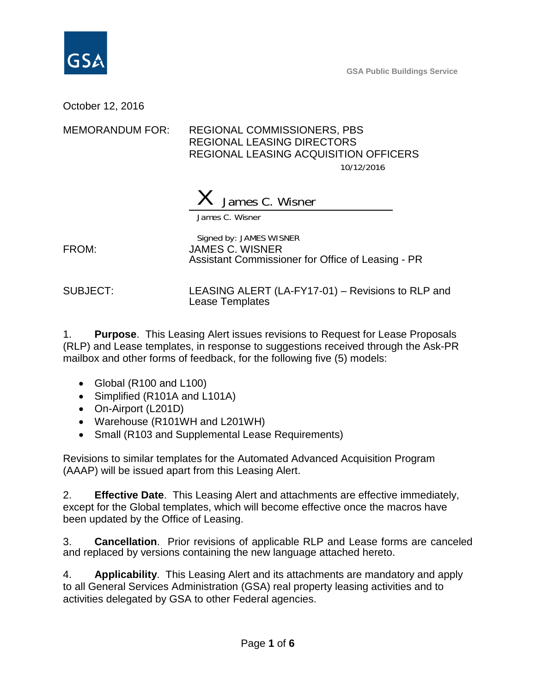

**GSA Public Buildings Service**

October 12, 2016

## MEMORANDUM FOR: REGIONAL COMMISSIONERS, PBS REGIONAL LEASING DIRECTORS REGIONAL LEASING ACQUISITION OFFICERS 10/12/2016

James C. Wisner

James C. Wisner

Signed by: JAMES WISNER FROM: JAMES C. WISNER Assistant Commissioner for Office of Leasing - PR

SUBJECT: LEASING ALERT (LA-FY17-01) – Revisions to RLP and Lease Templates

1. **Purpose**. This Leasing Alert issues revisions to Request for Lease Proposals (RLP) and Lease templates, in response to suggestions received through the Ask-PR mailbox and other forms of feedback, for the following five (5) models:

- Global (R100 and L100)
- Simplified (R101A and L101A)
- On-Airport (L201D)
- Warehouse (R101WH and L201WH)
- Small (R103 and Supplemental Lease Requirements)

Revisions to similar templates for the Automated Advanced Acquisition Program (AAAP) will be issued apart from this Leasing Alert.

2. **Effective Date**. This Leasing Alert and attachments are effective immediately, except for the Global templates, which will become effective once the macros have been updated by the Office of Leasing.

3. **Cancellation**. Prior revisions of applicable RLP and Lease forms are canceled and replaced by versions containing the new language attached hereto.

4. **Applicability**. This Leasing Alert and its attachments are mandatory and apply to all General Services Administration (GSA) real property leasing activities and to activities delegated by GSA to other Federal agencies.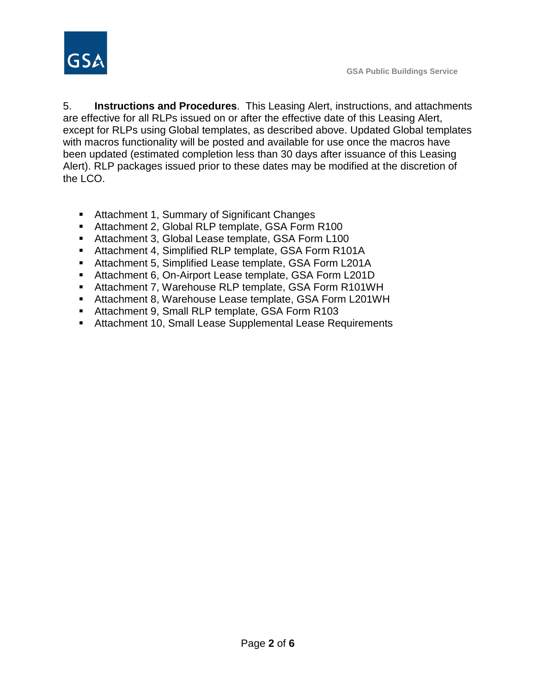

5. **Instructions and Procedures**. This Leasing Alert, instructions, and attachments are effective for all RLPs issued on or after the effective date of this Leasing Alert, except for RLPs using Global templates, as described above. Updated Global templates with macros functionality will be posted and available for use once the macros have been updated (estimated completion less than 30 days after issuance of this Leasing Alert). RLP packages issued prior to these dates may be modified at the discretion of the LCO.

- Attachment 1, Summary of Significant Changes
- Attachment 2, Global RLP template, GSA Form R100
- Attachment 3, Global Lease template, GSA Form L100
- Attachment 4, Simplified RLP template, GSA Form R101A
- Attachment 5, Simplified Lease template, GSA Form L201A
- Attachment 6, On-Airport Lease template, GSA Form L201D
- Attachment 7, Warehouse RLP template, GSA Form R101WH
- Attachment 8, Warehouse Lease template, GSA Form L201WH
- Attachment 9, Small RLP template, GSA Form R103
- Attachment 10, Small Lease Supplemental Lease Requirements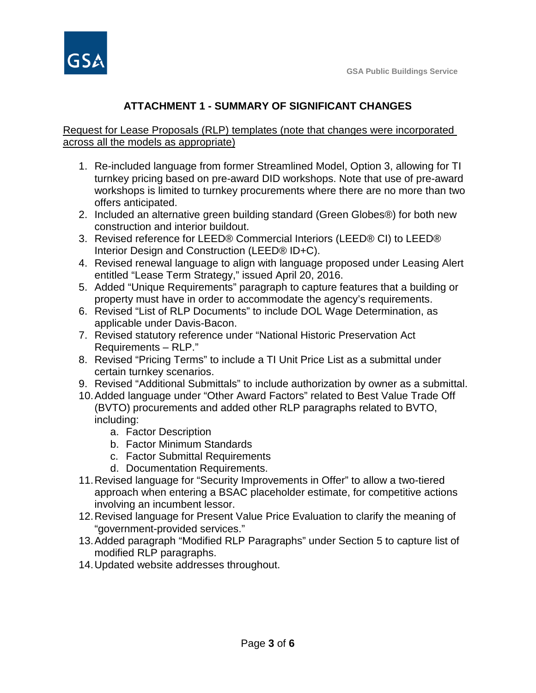

## **ATTACHMENT 1 - SUMMARY OF SIGNIFICANT CHANGES**

Request for Lease Proposals (RLP) templates (note that changes were incorporated across all the models as appropriate)

- 1. Re-included language from former Streamlined Model, Option 3, allowing for TI turnkey pricing based on pre-award DID workshops. Note that use of pre-award workshops is limited to turnkey procurements where there are no more than two offers anticipated.
- 2. Included an alternative green building standard (Green Globes®) for both new construction and interior buildout.
- 3. Revised reference for LEED® Commercial Interiors (LEED® CI) to LEED® Interior Design and Construction (LEED® ID+C).
- 4. Revised renewal language to align with language proposed under Leasing Alert entitled "Lease Term Strategy," issued April 20, 2016.
- 5. Added "Unique Requirements" paragraph to capture features that a building or property must have in order to accommodate the agency's requirements.
- 6. Revised "List of RLP Documents" to include DOL Wage Determination, as applicable under Davis-Bacon.
- 7. Revised statutory reference under "National Historic Preservation Act Requirements – RLP."
- 8. Revised "Pricing Terms" to include a TI Unit Price List as a submittal under certain turnkey scenarios.
- 9. Revised "Additional Submittals" to include authorization by owner as a submittal.
- 10.Added language under "Other Award Factors" related to Best Value Trade Off (BVTO) procurements and added other RLP paragraphs related to BVTO, including:
	- a. Factor Description
	- b. Factor Minimum Standards
	- c. Factor Submittal Requirements
	- d. Documentation Requirements.
- 11.Revised language for "Security Improvements in Offer" to allow a two-tiered approach when entering a BSAC placeholder estimate, for competitive actions involving an incumbent lessor.
- 12.Revised language for Present Value Price Evaluation to clarify the meaning of "government-provided services."
- 13.Added paragraph "Modified RLP Paragraphs" under Section 5 to capture list of modified RLP paragraphs.
- 14.Updated website addresses throughout.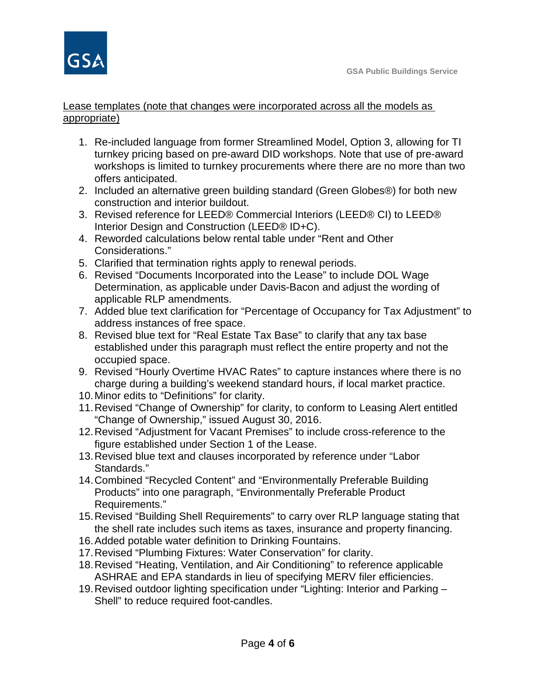

## Lease templates (note that changes were incorporated across all the models as appropriate)

- 1. Re-included language from former Streamlined Model, Option 3, allowing for TI turnkey pricing based on pre-award DID workshops. Note that use of pre-award workshops is limited to turnkey procurements where there are no more than two offers anticipated.
- 2. Included an alternative green building standard (Green Globes®) for both new construction and interior buildout.
- 3. Revised reference for LEED® Commercial Interiors (LEED® CI) to LEED® Interior Design and Construction (LEED® ID+C).
- 4. Reworded calculations below rental table under "Rent and Other Considerations."
- 5. Clarified that termination rights apply to renewal periods.
- 6. Revised "Documents Incorporated into the Lease" to include DOL Wage Determination, as applicable under Davis-Bacon and adjust the wording of applicable RLP amendments.
- 7. Added blue text clarification for "Percentage of Occupancy for Tax Adjustment" to address instances of free space.
- 8. Revised blue text for "Real Estate Tax Base" to clarify that any tax base established under this paragraph must reflect the entire property and not the occupied space.
- 9. Revised "Hourly Overtime HVAC Rates" to capture instances where there is no charge during a building's weekend standard hours, if local market practice.
- 10.Minor edits to "Definitions" for clarity.
- 11.Revised "Change of Ownership" for clarity, to conform to Leasing Alert entitled "Change of Ownership," issued August 30, 2016.
- 12.Revised "Adjustment for Vacant Premises" to include cross-reference to the figure established under Section 1 of the Lease.
- 13.Revised blue text and clauses incorporated by reference under "Labor Standards."
- 14.Combined "Recycled Content" and "Environmentally Preferable Building Products" into one paragraph, "Environmentally Preferable Product Requirements."
- 15.Revised "Building Shell Requirements" to carry over RLP language stating that the shell rate includes such items as taxes, insurance and property financing.
- 16.Added potable water definition to Drinking Fountains.
- 17.Revised "Plumbing Fixtures: Water Conservation" for clarity.
- 18.Revised "Heating, Ventilation, and Air Conditioning" to reference applicable ASHRAE and EPA standards in lieu of specifying MERV filer efficiencies.
- 19.Revised outdoor lighting specification under "Lighting: Interior and Parking Shell" to reduce required foot-candles.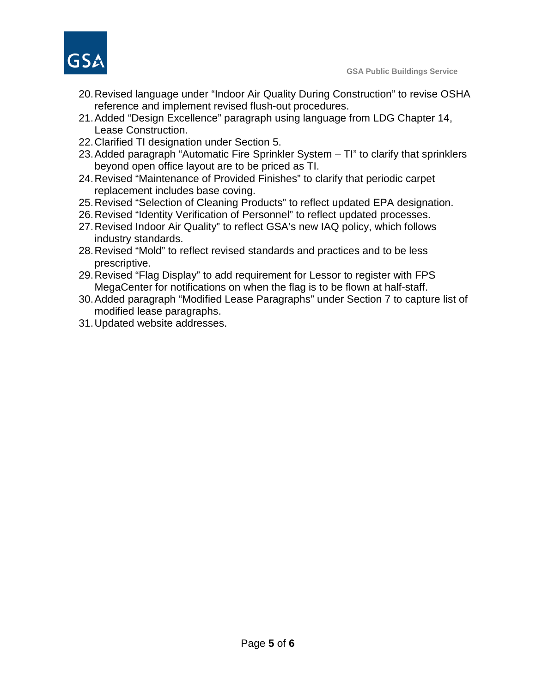

- 20.Revised language under "Indoor Air Quality During Construction" to revise OSHA reference and implement revised flush-out procedures.
- 21.Added "Design Excellence" paragraph using language from LDG Chapter 14, Lease Construction.
- 22.Clarified TI designation under Section 5.
- 23.Added paragraph "Automatic Fire Sprinkler System TI" to clarify that sprinklers beyond open office layout are to be priced as TI.
- 24.Revised "Maintenance of Provided Finishes" to clarify that periodic carpet replacement includes base coving.
- 25.Revised "Selection of Cleaning Products" to reflect updated EPA designation.
- 26.Revised "Identity Verification of Personnel" to reflect updated processes.
- 27.Revised Indoor Air Quality" to reflect GSA's new IAQ policy, which follows industry standards.
- 28.Revised "Mold" to reflect revised standards and practices and to be less prescriptive.
- 29.Revised "Flag Display" to add requirement for Lessor to register with FPS MegaCenter for notifications on when the flag is to be flown at half-staff.
- 30.Added paragraph "Modified Lease Paragraphs" under Section 7 to capture list of modified lease paragraphs.
- 31.Updated website addresses.